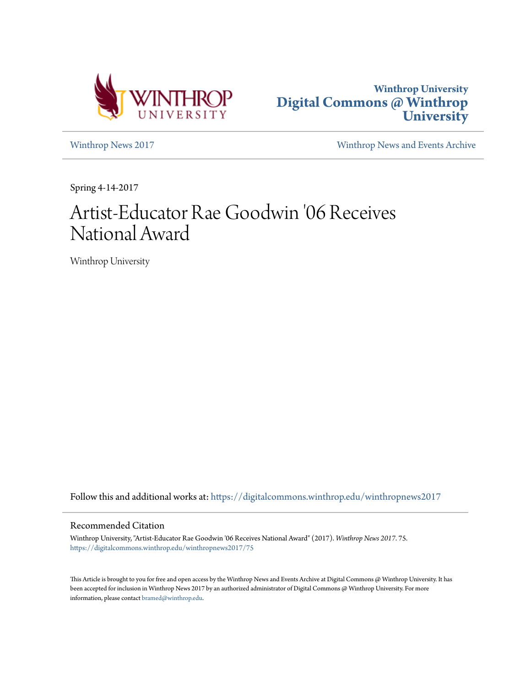



[Winthrop News 2017](https://digitalcommons.winthrop.edu/winthropnews2017?utm_source=digitalcommons.winthrop.edu%2Fwinthropnews2017%2F75&utm_medium=PDF&utm_campaign=PDFCoverPages) [Winthrop News and Events Archive](https://digitalcommons.winthrop.edu/winthropnewsarchives?utm_source=digitalcommons.winthrop.edu%2Fwinthropnews2017%2F75&utm_medium=PDF&utm_campaign=PDFCoverPages)

Spring 4-14-2017

## Artist-Educator Rae Goodwin '06 Receives National Award

Winthrop University

Follow this and additional works at: [https://digitalcommons.winthrop.edu/winthropnews2017](https://digitalcommons.winthrop.edu/winthropnews2017?utm_source=digitalcommons.winthrop.edu%2Fwinthropnews2017%2F75&utm_medium=PDF&utm_campaign=PDFCoverPages)

## Recommended Citation

Winthrop University, "Artist-Educator Rae Goodwin '06 Receives National Award" (2017). *Winthrop News 2017*. 75. [https://digitalcommons.winthrop.edu/winthropnews2017/75](https://digitalcommons.winthrop.edu/winthropnews2017/75?utm_source=digitalcommons.winthrop.edu%2Fwinthropnews2017%2F75&utm_medium=PDF&utm_campaign=PDFCoverPages)

This Article is brought to you for free and open access by the Winthrop News and Events Archive at Digital Commons @ Winthrop University. It has been accepted for inclusion in Winthrop News 2017 by an authorized administrator of Digital Commons @ Winthrop University. For more information, please contact [bramed@winthrop.edu](mailto:bramed@winthrop.edu).